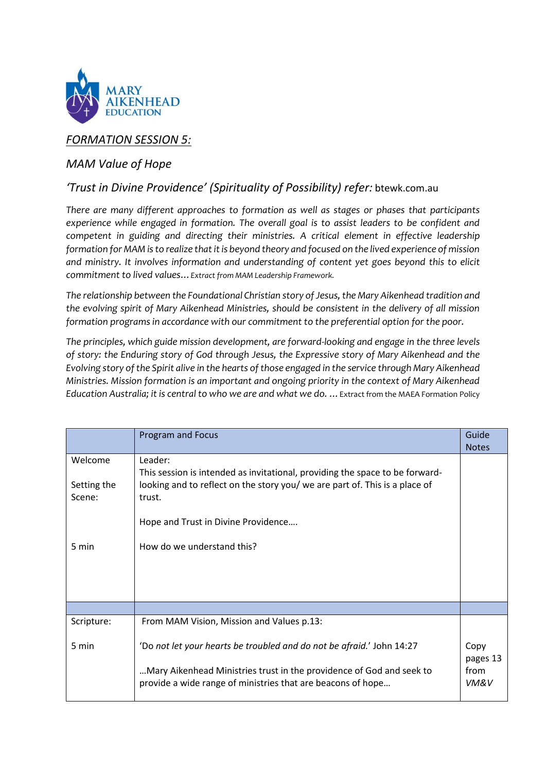

## *FORMATION SESSION 5:*

## *MAM Value of Hope*

### *'Trust in Divine Providence' (Spirituality of Possibility) refer:* btewk.com.au

*There are many different approaches to formation as well as stages or phases that participants experience while engaged in formation. The overall goal is to assist leaders to be confident and competent in guiding and directing their ministries. A critical element in effective leadership formation for MAM is to realize that it is beyond theory and focused on the lived experience of mission and ministry. It involves information and understanding of content yet goes beyond this to elicit commitment to lived values…Extract from MAM Leadership Framework.* 

*The relationship between the Foundational Christian story of Jesus, the Mary Aikenhead tradition and the evolving spirit of Mary Aikenhead Ministries, should be consistent in the delivery of all mission formation programs in accordance with our commitment to the preferential option for the poor.*

*The principles, which guide mission development, are forward-looking and engage in the three levels of story: the Enduring story of God through Jesus, the Expressive story of Mary Aikenhead and the Evolving story of the Spirit alive in the hearts of those engaged in the service through Mary Aikenhead Ministries. Mission formation is an important and ongoing priority in the context of Mary Aikenhead Education Australia; it is central to who we are and what we do. …*Extract from the MAEA Formation Policy

|                                  | <b>Program and Focus</b>                                                                                                                                                                                                | Guide<br><b>Notes</b>            |
|----------------------------------|-------------------------------------------------------------------------------------------------------------------------------------------------------------------------------------------------------------------------|----------------------------------|
| Welcome<br>Setting the<br>Scene: | Leader:<br>This session is intended as invitational, providing the space to be forward-<br>looking and to reflect on the story you/ we are part of. This is a place of<br>trust.<br>Hope and Trust in Divine Providence |                                  |
| 5 min                            | How do we understand this?                                                                                                                                                                                              |                                  |
|                                  |                                                                                                                                                                                                                         |                                  |
| Scripture:                       | From MAM Vision, Mission and Values p.13:                                                                                                                                                                               |                                  |
| 5 min                            | 'Do not let your hearts be troubled and do not be afraid.' John 14:27<br>Mary Aikenhead Ministries trust in the providence of God and seek to<br>provide a wide range of ministries that are beacons of hope            | Copy<br>pages 13<br>from<br>VM&V |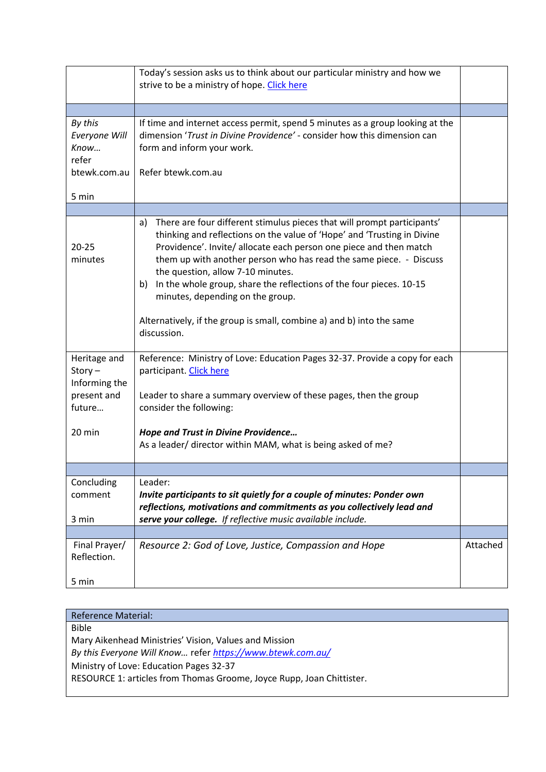|                                                                    | Today's session asks us to think about our particular ministry and how we<br>strive to be a ministry of hope. Click here                                                                                                                                                                                                                                                                                                                                                                                                                           |          |
|--------------------------------------------------------------------|----------------------------------------------------------------------------------------------------------------------------------------------------------------------------------------------------------------------------------------------------------------------------------------------------------------------------------------------------------------------------------------------------------------------------------------------------------------------------------------------------------------------------------------------------|----------|
|                                                                    |                                                                                                                                                                                                                                                                                                                                                                                                                                                                                                                                                    |          |
| By this<br>Everyone Will<br>Know<br>refer<br>btewk.com.au<br>5 min | If time and internet access permit, spend 5 minutes as a group looking at the<br>dimension 'Trust in Divine Providence' - consider how this dimension can<br>form and inform your work.<br>Refer btewk.com.au                                                                                                                                                                                                                                                                                                                                      |          |
|                                                                    |                                                                                                                                                                                                                                                                                                                                                                                                                                                                                                                                                    |          |
| $20 - 25$<br>minutes                                               | There are four different stimulus pieces that will prompt participants'<br>a)<br>thinking and reflections on the value of 'Hope' and 'Trusting in Divine<br>Providence'. Invite/ allocate each person one piece and then match<br>them up with another person who has read the same piece. - Discuss<br>the question, allow 7-10 minutes.<br>In the whole group, share the reflections of the four pieces. 10-15<br>b)<br>minutes, depending on the group.<br>Alternatively, if the group is small, combine a) and b) into the same<br>discussion. |          |
| Heritage and<br>$Story -$<br>Informing the<br>present and          | Reference: Ministry of Love: Education Pages 32-37. Provide a copy for each<br>participant. Click here<br>Leader to share a summary overview of these pages, then the group                                                                                                                                                                                                                                                                                                                                                                        |          |
| future                                                             | consider the following:                                                                                                                                                                                                                                                                                                                                                                                                                                                                                                                            |          |
| 20 min                                                             | <b>Hope and Trust in Divine Providence</b><br>As a leader/ director within MAM, what is being asked of me?                                                                                                                                                                                                                                                                                                                                                                                                                                         |          |
|                                                                    |                                                                                                                                                                                                                                                                                                                                                                                                                                                                                                                                                    |          |
| Concluding<br>comment<br>3 min                                     | Leader:<br>Invite participants to sit quietly for a couple of minutes: Ponder own<br>reflections, motivations and commitments as you collectively lead and<br>serve your college. If reflective music available include.                                                                                                                                                                                                                                                                                                                           |          |
|                                                                    |                                                                                                                                                                                                                                                                                                                                                                                                                                                                                                                                                    |          |
| Final Prayer/<br>Reflection.<br>5 min                              | Resource 2: God of Love, Justice, Compassion and Hope                                                                                                                                                                                                                                                                                                                                                                                                                                                                                              | Attached |

# Reference Material: Bible Mary Aikenhead Ministries' Vision, Values and Mission *By this Everyone Will Know…* refer *<https://www.btewk.com.au/>* Ministry of Love: Education Pages 32-37 RESOURCE 1: articles from Thomas Groome, Joyce Rupp, Joan Chittister.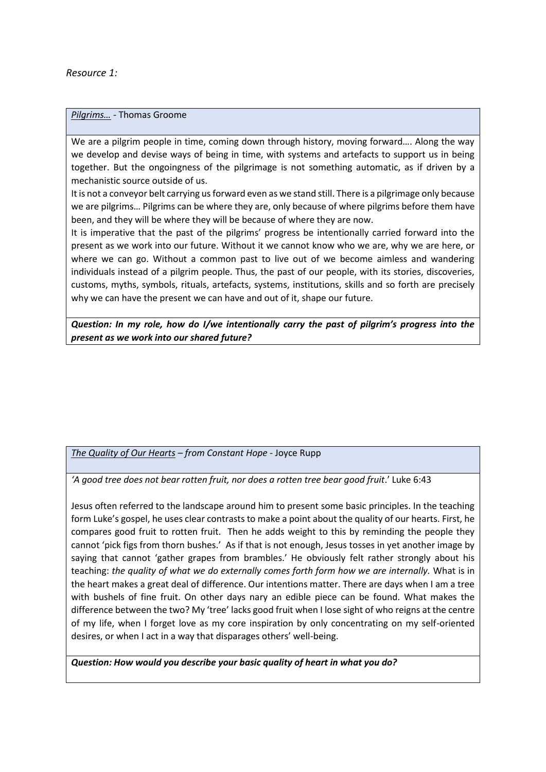*Resource 1:*

*Pilgrims…* - Thomas Groome

We are a pilgrim people in time, coming down through history, moving forward…. Along the way we develop and devise ways of being in time, with systems and artefacts to support us in being together. But the ongoingness of the pilgrimage is not something automatic, as if driven by a mechanistic source outside of us.

It is not a conveyor belt carrying us forward even as we stand still. There is a pilgrimage only because we are pilgrims… Pilgrims can be where they are, only because of where pilgrims before them have been, and they will be where they will be because of where they are now.

It is imperative that the past of the pilgrims' progress be intentionally carried forward into the present as we work into our future. Without it we cannot know who we are, why we are here, or where we can go. Without a common past to live out of we become aimless and wandering individuals instead of a pilgrim people. Thus, the past of our people, with its stories, discoveries, customs, myths, symbols, rituals, artefacts, systems, institutions, skills and so forth are precisely why we can have the present we can have and out of it, shape our future.

*Question: In my role, how do I/we intentionally carry the past of pilgrim's progress into the present as we work into our shared future?* 

*The Quality of Our Hearts – from Constant Hope* - Joyce Rupp

*'A good tree does not bear rotten fruit, nor does a rotten tree bear good fruit*.' Luke 6:43

Jesus often referred to the landscape around him to present some basic principles. In the teaching form Luke's gospel, he uses clear contrasts to make a point about the quality of our hearts. First, he compares good fruit to rotten fruit. Then he adds weight to this by reminding the people they cannot 'pick figs from thorn bushes.' As if that is not enough, Jesus tosses in yet another image by saying that cannot 'gather grapes from brambles.' He obviously felt rather strongly about his teaching: *the quality of what we do externally comes forth form how we are internally.* What is in the heart makes a great deal of difference. Our intentions matter. There are days when I am a tree with bushels of fine fruit. On other days nary an edible piece can be found. What makes the difference between the two? My 'tree' lacks good fruit when I lose sight of who reigns at the centre of my life, when I forget love as my core inspiration by only concentrating on my self-oriented desires, or when I act in a way that disparages others' well-being.

*Question: How would you describe your basic quality of heart in what you do?*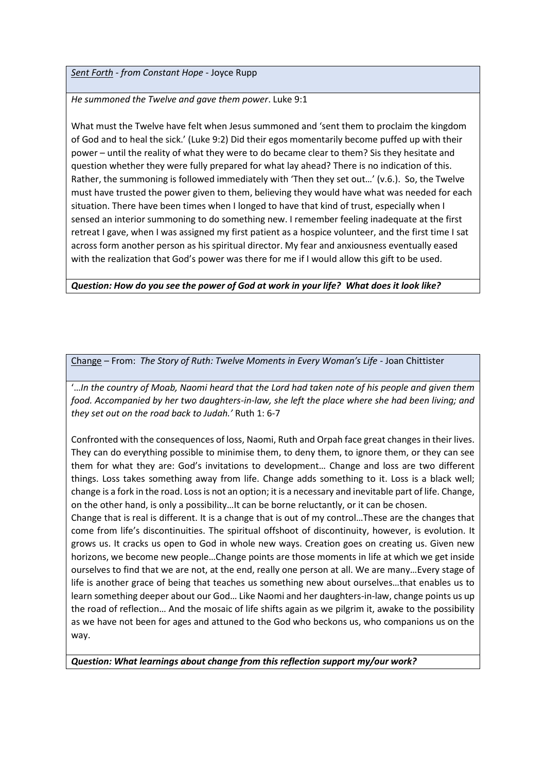#### *Sent Forth - from Constant Hope* - Joyce Rupp

*He summoned the Twelve and gave them power*. Luke 9:1

What must the Twelve have felt when Jesus summoned and 'sent them to proclaim the kingdom of God and to heal the sick.' (Luke 9:2) Did their egos momentarily become puffed up with their power – until the reality of what they were to do became clear to them? Sis they hesitate and question whether they were fully prepared for what lay ahead? There is no indication of this. Rather, the summoning is followed immediately with 'Then they set out…' (v.6.). So, the Twelve must have trusted the power given to them, believing they would have what was needed for each situation. There have been times when I longed to have that kind of trust, especially when I sensed an interior summoning to do something new. I remember feeling inadequate at the first retreat I gave, when I was assigned my first patient as a hospice volunteer, and the first time I sat across form another person as his spiritual director. My fear and anxiousness eventually eased with the realization that God's power was there for me if I would allow this gift to be used.

*Question: How do you see the power of God at work in your life? What does it look like?* 

Change – From: *The Story of Ruth: Twelve Moments in Every Woman's Life* - Joan Chittister

'…*In the country of Moab, Naomi heard that the Lord had taken note of his people and given them food. Accompanied by her two daughters-in-law, she left the place where she had been living; and they set out on the road back to Judah.'* Ruth 1: 6-7

Confronted with the consequences of loss, Naomi, Ruth and Orpah face great changes in their lives. They can do everything possible to minimise them, to deny them, to ignore them, or they can see them for what they are: God's invitations to development… Change and loss are two different things. Loss takes something away from life. Change adds something to it. Loss is a black well; change is a fork in the road. Loss is not an option; it is a necessary and inevitable part of life. Change, on the other hand, is only a possibility…It can be borne reluctantly, or it can be chosen.

Change that is real is different. It is a change that is out of my control…These are the changes that come from life's discontinuities. The spiritual offshoot of discontinuity, however, is evolution. It grows us. It cracks us open to God in whole new ways. Creation goes on creating us. Given new horizons, we become new people…Change points are those moments in life at which we get inside ourselves to find that we are not, at the end, really one person at all. We are many…Every stage of life is another grace of being that teaches us something new about ourselves…that enables us to learn something deeper about our God… Like Naomi and her daughters-in-law, change points us up the road of reflection… And the mosaic of life shifts again as we pilgrim it, awake to the possibility as we have not been for ages and attuned to the God who beckons us, who companions us on the way.

*Question: What learnings about change from this reflection support my/our work?*